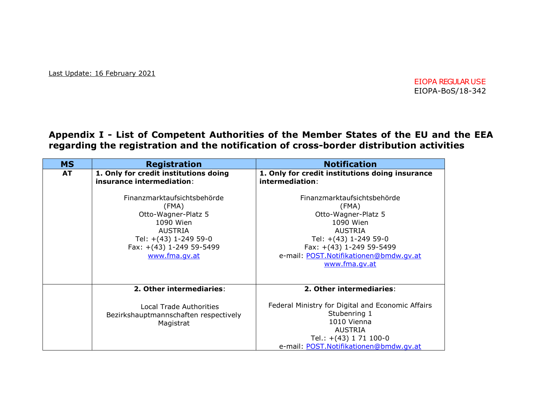Last Update: 16 February 2021

EIOPA REGULARUSE EIOPA-BoS/18-342

**Appendix I - List of Competent Authorities of the Member States of the EU and the EEA regarding the registration and the notification of cross-border distribution activities** 

| <b>MS</b> | <b>Registration</b>                                                                                                                                              | <b>Notification</b>                                                                                                                                                                                        |
|-----------|------------------------------------------------------------------------------------------------------------------------------------------------------------------|------------------------------------------------------------------------------------------------------------------------------------------------------------------------------------------------------------|
| <b>AT</b> | 1. Only for credit institutions doing<br>insurance intermediation:                                                                                               | 1. Only for credit institutions doing insurance<br>intermediation:                                                                                                                                         |
|           | Finanzmarktaufsichtsbehörde<br>(FMA)<br>Otto-Wagner-Platz 5<br>1090 Wien<br><b>AUSTRIA</b><br>Tel: +(43) 1-249 59-0<br>Fax: +(43) 1-249 59-5499<br>www.fma.qv.at | Finanzmarktaufsichtsbehörde<br>(FMA)<br>Otto-Wagner-Platz 5<br>1090 Wien<br><b>AUSTRIA</b><br>Tel: +(43) 1-249 59-0<br>Fax: +(43) 1-249 59-5499<br>e-mail: POST.Notifikationen@bmdw.qv.at<br>www.fma.gv.at |
|           | 2. Other intermediaries:                                                                                                                                         | 2. Other intermediaries:                                                                                                                                                                                   |
|           | <b>Local Trade Authorities</b><br>Bezirkshauptmannschaften respectively<br>Magistrat                                                                             | Federal Ministry for Digital and Economic Affairs<br>Stubenring 1<br>1010 Vienna<br><b>AUSTRIA</b><br>Tel.: $+(43)$ 1 71 100-0<br>e-mail: POST. Notifikationen@bmdw.gv.at                                  |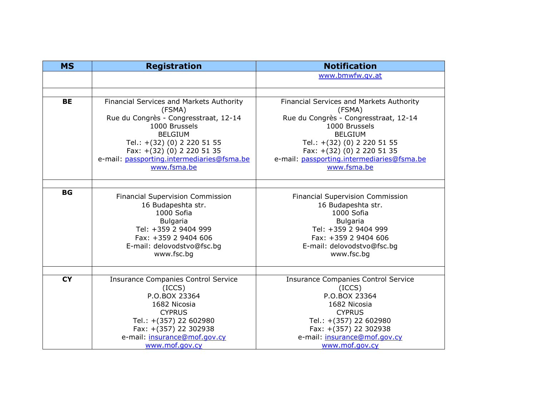| <b>MS</b> | <b>Registration</b>                        | <b>Notification</b>                        |
|-----------|--------------------------------------------|--------------------------------------------|
|           |                                            | www.bmwfw.qv.at                            |
|           |                                            |                                            |
| <b>BE</b> | Financial Services and Markets Authority   | Financial Services and Markets Authority   |
|           | (FSMA)                                     | (FSMA)                                     |
|           | Rue du Congrès - Congresstraat, 12-14      | Rue du Congrès - Congresstraat, 12-14      |
|           | 1000 Brussels                              | 1000 Brussels                              |
|           | <b>BELGIUM</b>                             | <b>BELGIUM</b>                             |
|           | Tel.: +(32) (0) 2 220 51 55                | Tel.: +(32) (0) 2 220 51 55                |
|           | Fax: +(32) (0) 2 220 51 35                 | Fax: +(32) (0) 2 220 51 35                 |
|           | e-mail: passporting.intermediaries@fsma.be | e-mail: passporting.intermediaries@fsma.be |
|           | www.fsma.be                                | www.fsma.be                                |
|           |                                            |                                            |
| <b>BG</b> | <b>Financial Supervision Commission</b>    | <b>Financial Supervision Commission</b>    |
|           | 16 Budapeshta str.                         | 16 Budapeshta str.                         |
|           | 1000 Sofia                                 | 1000 Sofia                                 |
|           | <b>Bulgaria</b>                            | <b>Bulgaria</b>                            |
|           | Tel: +359 2 9404 999                       | Tel: +359 2 9404 999                       |
|           | Fax: +359 2 9404 606                       | Fax: +359 2 9404 606                       |
|           | E-mail: delovodstvo@fsc.bg                 | E-mail: delovodstvo@fsc.bg                 |
|           | www.fsc.bg                                 | www.fsc.bg                                 |
|           |                                            |                                            |
| <b>CY</b> | <b>Insurance Companies Control Service</b> | <b>Insurance Companies Control Service</b> |
|           | (ICCS)                                     | (ICCS)                                     |
|           | P.O.BOX 23364                              | P.O.BOX 23364                              |
|           | 1682 Nicosia                               | 1682 Nicosia                               |
|           | <b>CYPRUS</b>                              | <b>CYPRUS</b>                              |
|           | Tel.: +(357) 22 602980                     | Tel.: +(357) 22 602980                     |
|           | Fax: +(357) 22 302938                      | Fax: +(357) 22 302938                      |
|           | e-mail: insurance@mof.gov.cy               | e-mail: insurance@mof.gov.cy               |
|           | www.mof.gov.cy                             | www.mof.gov.cy                             |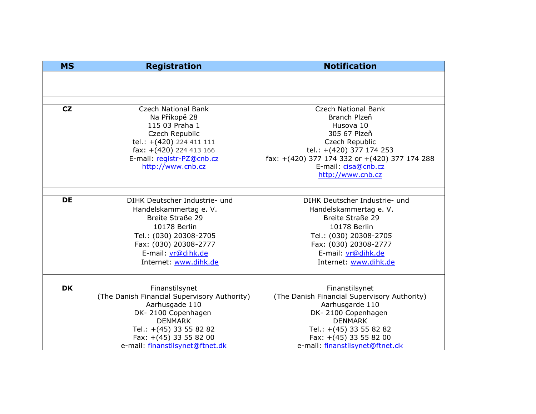| <b>MS</b> | <b>Registration</b>                                                                                                                                                                        | <b>Notification</b>                                                                                                                                                                                                |
|-----------|--------------------------------------------------------------------------------------------------------------------------------------------------------------------------------------------|--------------------------------------------------------------------------------------------------------------------------------------------------------------------------------------------------------------------|
|           |                                                                                                                                                                                            |                                                                                                                                                                                                                    |
|           |                                                                                                                                                                                            |                                                                                                                                                                                                                    |
|           |                                                                                                                                                                                            |                                                                                                                                                                                                                    |
| CZ        | <b>Czech National Bank</b><br>Na Příkopě 28<br>115 03 Praha 1<br>Czech Republic<br>tel.: +(420) 224 411 111<br>fax: $+(420)$ 224 413 166<br>E-mail: registr-PZ@cnb.cz<br>http://www.cnb.cz | <b>Czech National Bank</b><br>Branch Plzeň<br>Husova 10<br>305 67 Plzeň<br>Czech Republic<br>tel.: +(420) 377 174 253<br>fax: +(420) 377 174 332 or +(420) 377 174 288<br>E-mail: cisa@cnb.cz<br>http://www.cnb.cz |
|           |                                                                                                                                                                                            |                                                                                                                                                                                                                    |
| <b>DE</b> | DIHK Deutscher Industrie- und                                                                                                                                                              | DIHK Deutscher Industrie- und                                                                                                                                                                                      |
|           | Handelskammertag e. V.<br>Breite Straße 29                                                                                                                                                 | Handelskammertag e. V.<br>Breite Straße 29                                                                                                                                                                         |
|           | 10178 Berlin                                                                                                                                                                               | 10178 Berlin                                                                                                                                                                                                       |
|           | Tel.: (030) 20308-2705                                                                                                                                                                     | Tel.: (030) 20308-2705                                                                                                                                                                                             |
|           | Fax: (030) 20308-2777                                                                                                                                                                      | Fax: (030) 20308-2777                                                                                                                                                                                              |
|           | E-mail: vr@dihk.de                                                                                                                                                                         | E-mail: vr@dihk.de                                                                                                                                                                                                 |
|           | Internet: www.dihk.de                                                                                                                                                                      | Internet: www.dihk.de                                                                                                                                                                                              |
|           |                                                                                                                                                                                            |                                                                                                                                                                                                                    |
| <b>DK</b> | Finanstilsynet                                                                                                                                                                             | Finanstilsynet                                                                                                                                                                                                     |
|           | (The Danish Financial Supervisory Authority)                                                                                                                                               | (The Danish Financial Supervisory Authority)                                                                                                                                                                       |
|           | Aarhusgade 110                                                                                                                                                                             | Aarhusgarde 110                                                                                                                                                                                                    |
|           | DK-2100 Copenhagen                                                                                                                                                                         | DK-2100 Copenhagen                                                                                                                                                                                                 |
|           | <b>DENMARK</b>                                                                                                                                                                             | <b>DENMARK</b>                                                                                                                                                                                                     |
|           | Tel.: +(45) 33 55 82 82<br>Fax: +(45) 33 55 82 00                                                                                                                                          | Tel.: +(45) 33 55 82 82<br>Fax: +(45) 33 55 82 00                                                                                                                                                                  |
|           | e-mail: finanstilsynet@ftnet.dk                                                                                                                                                            | e-mail: finanstilsynet@ftnet.dk                                                                                                                                                                                    |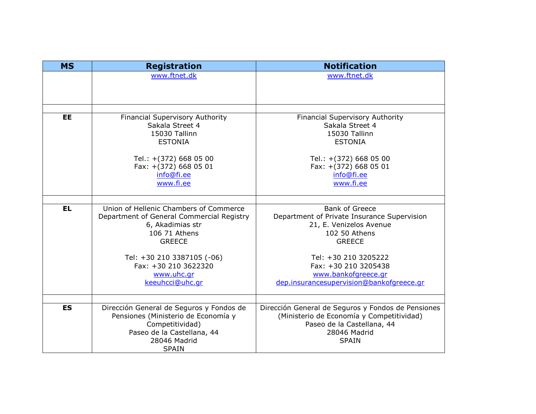| <b>MS</b> | <b>Registration</b>                       | <b>Notification</b>                                |
|-----------|-------------------------------------------|----------------------------------------------------|
|           | www.ftnet.dk                              | www.ftnet.dk                                       |
|           |                                           |                                                    |
|           |                                           |                                                    |
|           |                                           |                                                    |
| <b>EE</b> | <b>Financial Supervisory Authority</b>    | <b>Financial Supervisory Authority</b>             |
|           | Sakala Street 4                           | Sakala Street 4                                    |
|           | 15030 Tallinn                             | 15030 Tallinn                                      |
|           | <b>ESTONIA</b>                            | <b>ESTONIA</b>                                     |
|           | Tel.: +(372) 668 05 00                    | Tel.: +(372) 668 05 00                             |
|           | Fax: +(372) 668 05 01                     | Fax: +(372) 668 05 01                              |
|           | info@fi.ee                                | info@fi.ee                                         |
|           | www.fi.ee                                 | www.fi.ee                                          |
|           |                                           |                                                    |
|           |                                           |                                                    |
| <b>EL</b> | Union of Hellenic Chambers of Commerce    | <b>Bank of Greece</b>                              |
|           | Department of General Commercial Registry | Department of Private Insurance Supervision        |
|           | 6, Akadimias str                          | 21, E. Venizelos Avenue                            |
|           | 106 71 Athens                             | 102 50 Athens                                      |
|           | <b>GREECE</b>                             | <b>GREECE</b>                                      |
|           | Tel: +30 210 3387105 (-06)                | Tel: +30 210 3205222                               |
|           | Fax: +30 210 3622320                      | Fax: +30 210 3205438                               |
|           | www.uhc.gr                                | www.bankofgreece.gr                                |
|           | keeuhcci@uhc.gr                           | dep.insurancesupervision@bankofgreece.gr           |
|           |                                           |                                                    |
|           |                                           |                                                    |
| <b>ES</b> | Dirección General de Seguros y Fondos de  | Dirección General de Seguros y Fondos de Pensiones |
|           | Pensiones (Ministerio de Economía y       | (Ministerio de Economía y Competitividad)          |
|           | Competitividad)                           | Paseo de la Castellana, 44                         |
|           | Paseo de la Castellana, 44                | 28046 Madrid                                       |
|           | 28046 Madrid                              | <b>SPAIN</b>                                       |
|           | <b>SPAIN</b>                              |                                                    |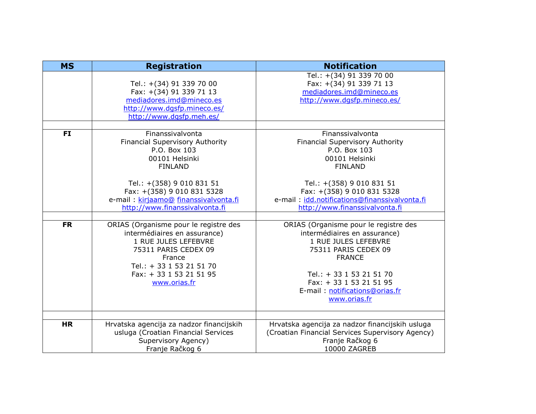| <b>MS</b> | <b>Registration</b>                                                                                                                                                                                    | <b>Notification</b>                                                                                                                                                                                                                             |
|-----------|--------------------------------------------------------------------------------------------------------------------------------------------------------------------------------------------------------|-------------------------------------------------------------------------------------------------------------------------------------------------------------------------------------------------------------------------------------------------|
|           | Tel.: +(34) 91 339 70 00<br>Fax: +(34) 91 339 71 13<br>mediadores.imd@mineco.es<br>http://www.dgsfp.mineco.es/<br>http://www.dgsfp.meh.es/                                                             | Tel.: +(34) 91 339 70 00<br>Fax: +(34) 91 339 71 13<br>mediadores.imd@mineco.es<br>http://www.dqsfp.mineco.es/                                                                                                                                  |
|           |                                                                                                                                                                                                        |                                                                                                                                                                                                                                                 |
| <b>FI</b> | Finanssivalvonta<br>Financial Supervisory Authority<br>P.O. Box 103<br>00101 Helsinki<br><b>FINLAND</b>                                                                                                | Finanssivalvonta<br>Financial Supervisory Authority<br>P.O. Box 103<br>00101 Helsinki<br><b>FINLAND</b>                                                                                                                                         |
|           | Tel.: +(358) 9 010 831 51<br>Fax: +(358) 9 010 831 5328<br>e-mail : kirjaamo@ finanssivalvonta.fi<br>http://www.finanssivalvonta.fi                                                                    | Tel.: +(358) 9 010 831 51<br>Fax: +(358) 9 010 831 5328<br>e-mail: idd.notifications@finanssivalvonta.fi<br>http://www.finanssivalvonta.fi                                                                                                      |
|           |                                                                                                                                                                                                        |                                                                                                                                                                                                                                                 |
| <b>FR</b> | ORIAS (Organisme pour le registre des<br>intermédiaires en assurance)<br>1 RUE JULES LEFEBVRE<br>75311 PARIS CEDEX 09<br>France<br>Tel.: + 33 1 53 21 51 70<br>Fax: + 33 1 53 21 51 95<br>www.orias.fr | ORIAS (Organisme pour le registre des<br>intermédiaires en assurance)<br>1 RUE JULES LEFEBVRE<br>75311 PARIS CEDEX 09<br><b>FRANCE</b><br>Tel.: + 33 1 53 21 51 70<br>Fax: + 33 1 53 21 51 95<br>E-mail: notifications@orias.fr<br>www.orias.fr |
|           |                                                                                                                                                                                                        |                                                                                                                                                                                                                                                 |
| <b>HR</b> | Hrvatska agencija za nadzor financijskih<br>usluga (Croatian Financial Services<br>Supervisory Agency)<br>Franje Račkog 6                                                                              | Hrvatska agencija za nadzor financijskih usluga<br>(Croatian Financial Services Supervisory Agency)<br>Franje Račkog 6<br>10000 ZAGREB                                                                                                          |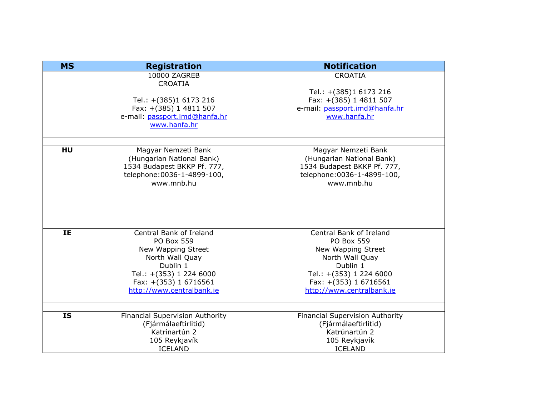| <b>MS</b> | <b>Registration</b>                                                                                                                                                                | <b>Notification</b>                                                                                                                                                                |
|-----------|------------------------------------------------------------------------------------------------------------------------------------------------------------------------------------|------------------------------------------------------------------------------------------------------------------------------------------------------------------------------------|
|           | 10000 ZAGREB<br><b>CROATIA</b><br>Tel.: +(385)1 6173 216<br>Fax: +(385) 1 4811 507<br>e-mail: passport.imd@hanfa.hr<br>www.hanfa.hr                                                | <b>CROATIA</b><br>Tel.: +(385)1 6173 216<br>Fax: +(385) 1 4811 507<br>e-mail: passport.imd@hanfa.hr<br>www.hanfa.hr                                                                |
| HU        | Magyar Nemzeti Bank<br>(Hungarian National Bank)<br>1534 Budapest BKKP Pf. 777,<br>telephone: 0036-1-4899-100,<br>www.mnb.hu                                                       | Magyar Nemzeti Bank<br>(Hungarian National Bank)<br>1534 Budapest BKKP Pf. 777,<br>telephone: 0036-1-4899-100,<br>www.mnb.hu                                                       |
| IE        | Central Bank of Ireland<br><b>PO Box 559</b><br>New Wapping Street<br>North Wall Quay<br>Dublin 1<br>Tel.: +(353) 1 224 6000<br>Fax: +(353) 1 6716561<br>http://www.centralbank.ie | Central Bank of Ireland<br><b>PO Box 559</b><br>New Wapping Street<br>North Wall Quay<br>Dublin 1<br>Tel.: +(353) 1 224 6000<br>Fax: +(353) 1 6716561<br>http://www.centralbank.ie |
| <b>IS</b> | <b>Financial Supervision Authority</b><br>(Fjármálaeftirlitid)<br>Katrínartún 2<br>105 Reykjavík<br><b>ICELAND</b>                                                                 | <b>Financial Supervision Authority</b><br>(Fjármálaeftirlitid)<br>Katrúnartún 2<br>105 Reykjavík<br><b>ICELAND</b>                                                                 |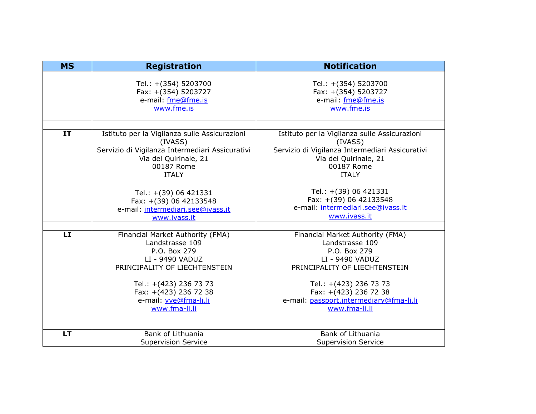| <b>MS</b> | <b>Registration</b>                             | <b>Notification</b>                             |
|-----------|-------------------------------------------------|-------------------------------------------------|
|           | Tel.: +(354) 5203700                            | Tel.: +(354) 5203700                            |
|           | Fax: +(354) 5203727                             | Fax: +(354) 5203727                             |
|           | e-mail: fme@fme.is                              | e-mail: fme@fme.is                              |
|           | www.fme.is                                      | www.fme.is                                      |
|           |                                                 |                                                 |
| IT        | Istituto per la Vigilanza sulle Assicurazioni   | Istituto per la Vigilanza sulle Assicurazioni   |
|           | (IVASS)                                         | (IVASS)                                         |
|           | Servizio di Vigilanza Intermediari Assicurativi | Servizio di Vigilanza Intermediari Assicurativi |
|           | Via del Quirinale, 21                           | Via del Quirinale, 21                           |
|           | 00187 Rome                                      | 00187 Rome                                      |
|           | <b>ITALY</b>                                    | <b>ITALY</b>                                    |
|           | Tel.: +(39) 06 421331                           | Tel.: +(39) 06 421331                           |
|           | Fax: +(39) 06 42133548                          | Fax: +(39) 06 42133548                          |
|           | e-mail: intermediari.see@ivass.it               | e-mail: intermediari.see@ivass.it               |
|           | www.ivass.it                                    | www.ivass.it                                    |
|           |                                                 |                                                 |
| LI        | Financial Market Authority (FMA)                | Financial Market Authority (FMA)                |
|           | Landstrasse 109                                 | Landstrasse 109                                 |
|           | P.O. Box 279                                    | P.O. Box 279                                    |
|           | LI - 9490 VADUZ                                 | LI - 9490 VADUZ                                 |
|           | PRINCIPALITY OF LIECHTENSTEIN                   | PRINCIPALITY OF LIECHTENSTEIN                   |
|           | Tel.: +(423) 236 73 73                          | Tel.: +(423) 236 73 73                          |
|           | Fax: +(423) 236 72 38                           | Fax: +(423) 236 72 38                           |
|           | e-mail: vve@fma-li.li                           | e-mail: passport.intermediary@fma-li.li         |
|           | www.fma-li.li                                   | www.fma-li.li                                   |
|           |                                                 |                                                 |
| <b>LT</b> | Bank of Lithuania                               | Bank of Lithuania                               |
|           | <b>Supervision Service</b>                      | <b>Supervision Service</b>                      |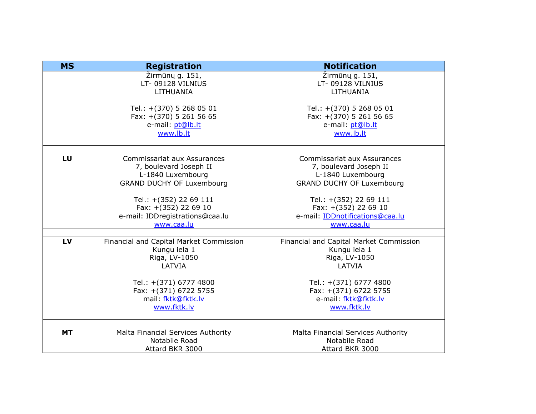| <b>MS</b> | <b>Registration</b>                                     | <b>Notification</b>                                          |
|-----------|---------------------------------------------------------|--------------------------------------------------------------|
|           | Žirmūnų g. 151,<br>LT-09128 VILNIUS                     | Žirmūnų g. 151,<br>LT-09128 VILNIUS                          |
|           | LITHUANIA                                               | LITHUANIA                                                    |
|           | Tel.: +(370) 5 268 05 01<br>Fax: +(370) 5 261 56 65     | Tel.: +(370) 5 268 05 01<br>Fax: +(370) 5 261 56 65          |
|           | e-mail: pt@lb.lt                                        | e-mail: pt@lb.lt                                             |
|           | www.lb.lt                                               | www.lb.lt                                                    |
|           |                                                         |                                                              |
| LU        | Commissariat aux Assurances<br>7, boulevard Joseph II   | <b>Commissariat aux Assurances</b><br>7, boulevard Joseph II |
|           | L-1840 Luxembourg                                       | L-1840 Luxembourg                                            |
|           | <b>GRAND DUCHY OF Luxembourg</b>                        | <b>GRAND DUCHY OF Luxembourg</b>                             |
|           | Tel.: +(352) 22 69 111                                  | Tel.: +(352) 22 69 111                                       |
|           | Fax: +(352) 22 69 10                                    | Fax: +(352) 22 69 10                                         |
|           | e-mail: IDDregistrations@caa.lu                         | e-mail: IDDnotifications@caa.lu                              |
|           | www.caa.lu                                              | www.caa.lu                                                   |
|           |                                                         |                                                              |
| LV        | Financial and Capital Market Commission<br>Kungu iela 1 | Financial and Capital Market Commission<br>Kungu iela 1      |
|           | Riga, LV-1050                                           | Riga, LV-1050                                                |
|           | LATVIA                                                  | LATVIA                                                       |
|           |                                                         |                                                              |
|           | Tel.: +(371) 6777 4800<br>Fax: +(371) 6722 5755         | Tel.: +(371) 6777 4800<br>Fax: +(371) 6722 5755              |
|           | mail: fktk@fktk.lv                                      | e-mail: fktk@fktk.lv                                         |
|           | www.fktk.lv                                             | www.fktk.lv                                                  |
|           |                                                         |                                                              |
| МT        | Malta Financial Services Authority                      | Malta Financial Services Authority                           |
|           | Notabile Road                                           | Notabile Road                                                |
|           | Attard BKR 3000                                         | Attard BKR 3000                                              |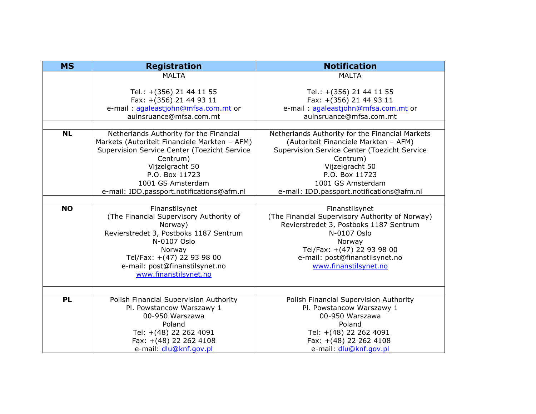| <b>MS</b><br><b>Registration</b>                                                       | <b>Notification</b>                                      |
|----------------------------------------------------------------------------------------|----------------------------------------------------------|
| <b>MALTA</b>                                                                           | <b>MALTA</b>                                             |
|                                                                                        |                                                          |
| Tel.: +(356) 21 44 11 55                                                               | Tel.: +(356) 21 44 11 55                                 |
| Fax: +(356) 21 44 93 11                                                                | Fax: +(356) 21 44 93 11                                  |
| e-mail: agaleastjohn@mfsa.com.mt or                                                    | e-mail: agaleastjohn@mfsa.com.mt or                      |
| auinsruance@mfsa.com.mt                                                                | auinsruance@mfsa.com.mt                                  |
|                                                                                        |                                                          |
| <b>NL</b><br>Netherlands Authority for the Financial                                   | Netherlands Authority for the Financial Markets          |
| Markets (Autoriteit Financiele Markten - AFM)                                          | (Autoriteit Financiele Markten - AFM)                    |
| Supervision Service Center (Toezicht Service                                           | Supervision Service Center (Toezicht Service<br>Centrum) |
| Centrum)<br>Vijzelgracht 50                                                            | Vijzelgracht 50                                          |
| P.O. Box 11723                                                                         | P.O. Box 11723                                           |
| 1001 GS Amsterdam                                                                      | 1001 GS Amsterdam                                        |
| e-mail: IDD.passport.notifications@afm.nl<br>e-mail: IDD.passport.notifications@afm.nl |                                                          |
|                                                                                        |                                                          |
| <b>NO</b><br>Finanstilsynet                                                            | Finanstilsynet                                           |
| (The Financial Supervisory Authority of                                                | (The Financial Supervisory Authority of Norway)          |
| Norway)                                                                                | Revierstredet 3, Postboks 1187 Sentrum                   |
| Revierstredet 3, Postboks 1187 Sentrum                                                 | N-0107 Oslo                                              |
| N-0107 Oslo                                                                            | Norway                                                   |
| Norway                                                                                 | Tel/Fax: +(47) 22 93 98 00                               |
| Tel/Fax: +(47) 22 93 98 00                                                             | e-mail: post@finanstilsynet.no                           |
| e-mail: post@finanstilsynet.no                                                         | www.finanstilsynet.no                                    |
| www.finanstilsynet.no                                                                  |                                                          |
|                                                                                        |                                                          |
|                                                                                        |                                                          |
| <b>PL</b><br>Polish Financial Supervision Authority                                    | Polish Financial Supervision Authority                   |
| Pl. Powstancow Warszawy 1                                                              | Pl. Powstancow Warszawy 1                                |
| 00-950 Warszawa                                                                        | 00-950 Warszawa                                          |
| Poland                                                                                 | Poland                                                   |
| Tel: +(48) 22 262 4091<br>Fax: +(48) 22 262 4108                                       | Tel: +(48) 22 262 4091<br>Fax: +(48) 22 262 4108         |
| e-mail: dlu@knf.gov.pl                                                                 | e-mail: dlu@knf.gov.pl                                   |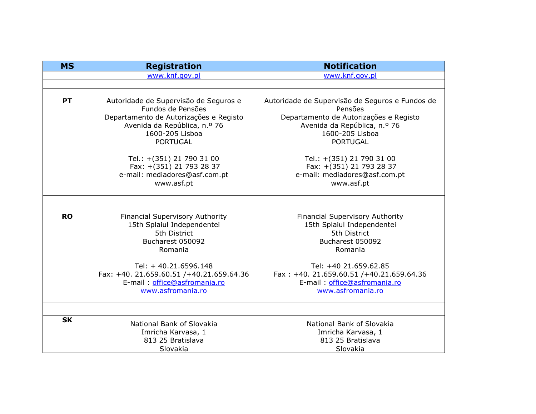| <b>MS</b>                                                                                                                 | <b>Registration</b>                                                                                                                                                        | <b>Notification</b>                                                                                                                                                        |
|---------------------------------------------------------------------------------------------------------------------------|----------------------------------------------------------------------------------------------------------------------------------------------------------------------------|----------------------------------------------------------------------------------------------------------------------------------------------------------------------------|
|                                                                                                                           | www.knf.gov.pl                                                                                                                                                             | www.knf.gov.pl                                                                                                                                                             |
|                                                                                                                           |                                                                                                                                                                            |                                                                                                                                                                            |
| <b>PT</b>                                                                                                                 | Autoridade de Supervisão de Seguros e<br>Fundos de Pensões<br>Departamento de Autorizações e Registo<br>Avenida da República, n.º 76<br>1600-205 Lisboa<br><b>PORTUGAL</b> | Autoridade de Supervisão de Seguros e Fundos de<br>Pensões<br>Departamento de Autorizações e Registo<br>Avenida da República, n.º 76<br>1600-205 Lisboa<br><b>PORTUGAL</b> |
|                                                                                                                           | Tel.: +(351) 21 790 31 00<br>Fax: +(351) 21 793 28 37<br>e-mail: mediadores@asf.com.pt<br>www.asf.pt                                                                       | Tel.: +(351) 21 790 31 00<br>Fax: +(351) 21 793 28 37<br>e-mail: mediadores@asf.com.pt<br>www.asf.pt                                                                       |
|                                                                                                                           |                                                                                                                                                                            |                                                                                                                                                                            |
| <b>RO</b><br>Financial Supervisory Authority<br>15th Splaiul Independentei<br>5th District<br>Bucharest 050092<br>Romania |                                                                                                                                                                            | <b>Financial Supervisory Authority</b><br>15th Splaiul Independentei<br>5th District<br>Bucharest 050092<br>Romania                                                        |
|                                                                                                                           | Tel: + 40.21.6596.148<br>Fax: +40. 21.659.60.51 /+40.21.659.64.36<br>E-mail: office@asfromania.ro<br>www.asfromania.ro                                                     | Tel: +40 21.659.62.85<br>Fax: +40. 21.659.60.51 /+40.21.659.64.36<br>E-mail: office@asfromania.ro<br>www.asfromania.ro                                                     |
| <b>SK</b>                                                                                                                 | National Bank of Slovakia<br>Imricha Karvasa, 1<br>813 25 Bratislava<br>Slovakia                                                                                           | National Bank of Slovakia<br>Imricha Karvasa, 1<br>813 25 Bratislava<br>Slovakia                                                                                           |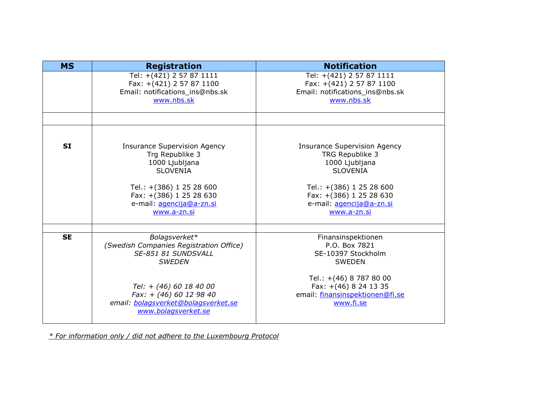| <b>MS</b> | <b>Registration</b>                                                                                                                                                                           | <b>Notification</b>                                                                                                                                                                           |
|-----------|-----------------------------------------------------------------------------------------------------------------------------------------------------------------------------------------------|-----------------------------------------------------------------------------------------------------------------------------------------------------------------------------------------------|
|           | Tel: +(421) 2 57 87 1111<br>Fax: +(421) 2 57 87 1100<br>Email: notifications_ins@nbs.sk<br>www.nbs.sk                                                                                         | Tel: +(421) 2 57 87 1111<br>Fax: +(421) 2 57 87 1100<br>Email: notifications_ins@nbs.sk<br>www.nbs.sk                                                                                         |
|           |                                                                                                                                                                                               |                                                                                                                                                                                               |
| <b>SI</b> | <b>Insurance Supervision Agency</b><br>Trg Republike 3<br>1000 Ljubljana<br><b>SLOVENIA</b><br>Tel.: +(386) 1 25 28 600<br>Fax: +(386) 1 25 28 630<br>e-mail: agencija@a-zn.si<br>www.a-zn.si | <b>Insurance Supervision Agency</b><br>TRG Republike 3<br>1000 Ljubljana<br><b>SLOVENIA</b><br>Tel.: +(386) 1 25 28 600<br>Fax: +(386) 1 25 28 630<br>e-mail: agencija@a-zn.si<br>www.a-zn.si |
| <b>SE</b> | Bolagsverket*<br>(Swedish Companies Registration Office)<br>SE-851 81 SUNDSVALL<br><b>SWEDEN</b>                                                                                              | Finansinspektionen<br>P.O. Box 7821<br>SE-10397 Stockholm<br><b>SWEDEN</b>                                                                                                                    |
|           | Tel: + (46) 60 18 40 00<br>Fax: + (46) 60 12 98 40<br>email: bolagsverket@bolagsverket.se<br>www.bolagsverket.se                                                                              | Tel.: +(46) 8 787 80 00<br>Fax: +(46) 8 24 13 35<br>email: finansinspektionen@fi.se<br>www.fi.se                                                                                              |

*\* For information only / did not adhere to the Luxembourg Protocol*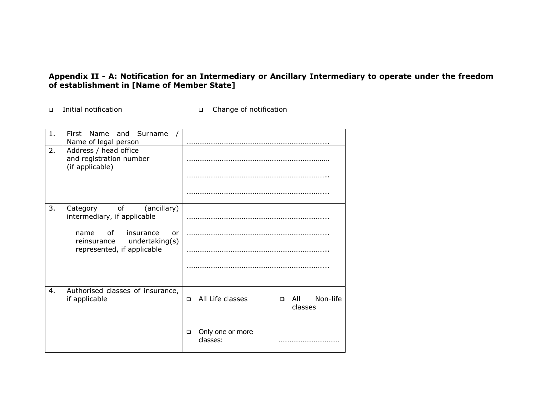## **Appendix II - A: Notification for an Intermediary or Ancillary Intermediary to operate under the freedom of establishment in [Name of Member State]**

- Initial notification Change of notification
	-

| $\mathbf{1}$ . | First Name<br>and Surname<br>Name of legal person                                                                                                                                                                                                                                        |                                                                 |
|----------------|------------------------------------------------------------------------------------------------------------------------------------------------------------------------------------------------------------------------------------------------------------------------------------------|-----------------------------------------------------------------|
| 2.             | Address / head office<br>and registration number<br>(if applicable)                                                                                                                                                                                                                      |                                                                 |
|                |                                                                                                                                                                                                                                                                                          |                                                                 |
| 3.             | of the contract of the contract of the contract of the contract of the contract of the contract of the contract of the contract of the contract of the contract of the contract of the contract of the contract of the contrac<br>(ancillary)<br>Category<br>intermediary, if applicable |                                                                 |
|                | of<br>insurance<br>name<br>or<br>reinsurance undertaking(s)<br>represented, if applicable                                                                                                                                                                                                |                                                                 |
|                |                                                                                                                                                                                                                                                                                          |                                                                 |
| 4.             | Authorised classes of insurance,<br>if applicable                                                                                                                                                                                                                                        | All Life classes<br>Non-life<br>$\Box$ All<br>$\Box$<br>classes |
|                |                                                                                                                                                                                                                                                                                          | Only one or more<br>$\Box$<br>classes:                          |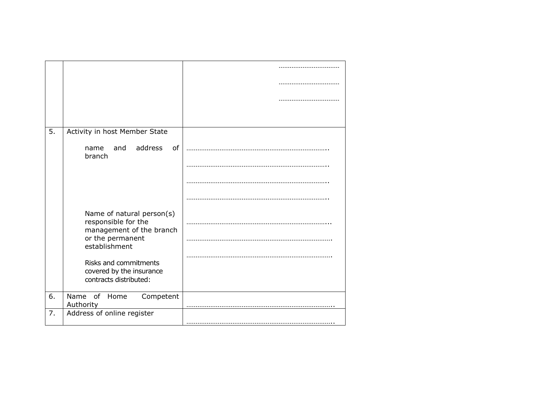| 5. | Activity in host Member State                                                                                     |  |
|----|-------------------------------------------------------------------------------------------------------------------|--|
|    | address<br>and<br>of<br>name<br>branch                                                                            |  |
|    |                                                                                                                   |  |
|    |                                                                                                                   |  |
|    |                                                                                                                   |  |
|    | Name of natural person(s)<br>responsible for the<br>management of the branch<br>or the permanent<br>establishment |  |
|    | Risks and commitments<br>covered by the insurance<br>contracts distributed:                                       |  |
| 6. | Name of<br>Competent<br>Home<br>Authority                                                                         |  |
| 7. | Address of online register                                                                                        |  |
|    |                                                                                                                   |  |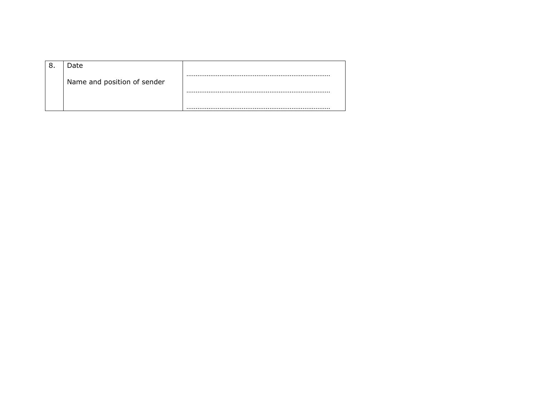| Date                        |  |
|-----------------------------|--|
| Name and position of sender |  |
|                             |  |
|                             |  |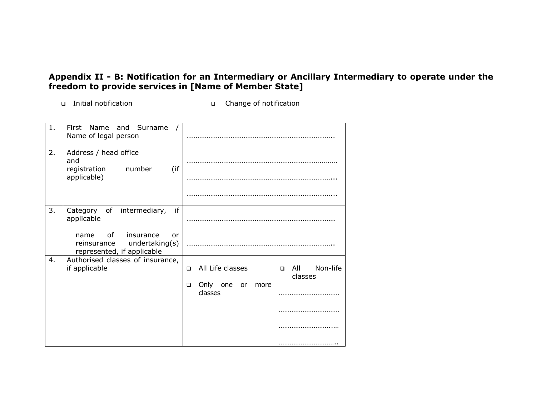## **Appendix II - B: Notification for an Intermediary or Ancillary Intermediary to operate under the freedom to provide services in [Name of Member State]**

Initial notification Change of notification

| 1. | First<br>Name<br>and Surname<br>Name of legal person                                                                                          |                                                                                                                       |
|----|-----------------------------------------------------------------------------------------------------------------------------------------------|-----------------------------------------------------------------------------------------------------------------------|
| 2. | Address / head office<br>and<br>(if<br>registration<br>number<br>applicable)                                                                  |                                                                                                                       |
| 3. | Category of intermediary,<br>if<br>applicable<br>οf<br>insurance<br>name<br>or<br>undertaking(s)<br>reinsurance<br>represented, if applicable |                                                                                                                       |
| 4. | Authorised classes of insurance,<br>if applicable                                                                                             | All Life classes<br>Non-life<br>$\Box$ All<br>$\Box$<br>classes<br>Only<br>one<br>$\Box$<br>or<br>more<br>classes<br> |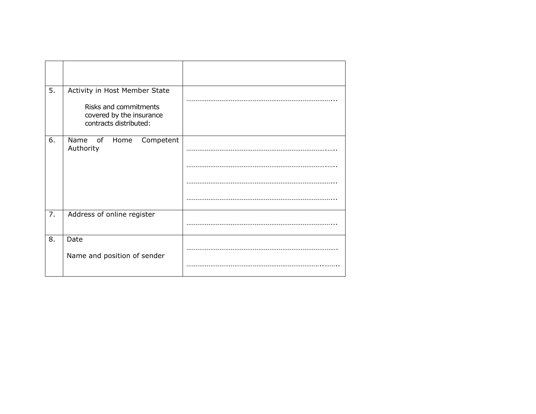| 5. | Activity in Host Member State<br>Risks and commitments<br>covered by the insurance<br>contracts distributed: |  |
|----|--------------------------------------------------------------------------------------------------------------|--|
| 6. | Name of Home<br>Competent<br>Authority                                                                       |  |
| 7. | Address of online register                                                                                   |  |
| 8. | Date<br>Name and position of sender                                                                          |  |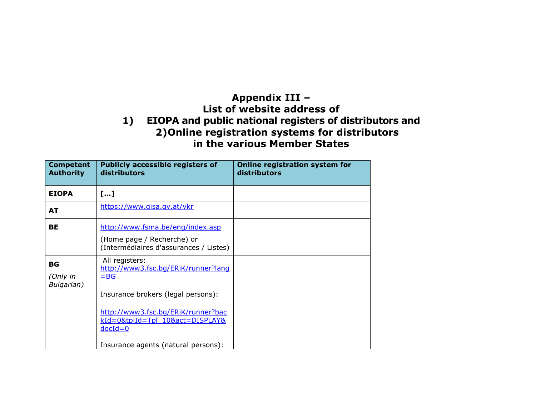## **Appendix III – List of website address of 1) EIOPA and public national registers of distributors and 2)Online registration systems for distributors in the various Member States**

| <b>Competent</b><br><b>Authority</b> | <b>Publicly accessible registers of</b><br>distributors                                                                     | Online registration system for<br>distributors |
|--------------------------------------|-----------------------------------------------------------------------------------------------------------------------------|------------------------------------------------|
| <b>EIOPA</b>                         | […]                                                                                                                         |                                                |
| AT                                   | https://www.gisa.gv.at/vkr                                                                                                  |                                                |
| ВE                                   | http://www.fsma.be/eng/index.asp<br>(Home page / Recherche) or<br>(Intermédiaires d'assurances / Listes)                    |                                                |
| ВG<br>(Only in<br>Bulgarian)         | All registers:<br>http://www3.fsc.bg/ERiK/runner?lang<br>$=$ BG<br>Insurance brokers (legal persons):                       |                                                |
|                                      | http://www3.fsc.bg/ERiK/runner?bac<br>kId=0&tplId=Tpl 10&act=DISPLAY&<br>$docId = 0$<br>Insurance agents (natural persons): |                                                |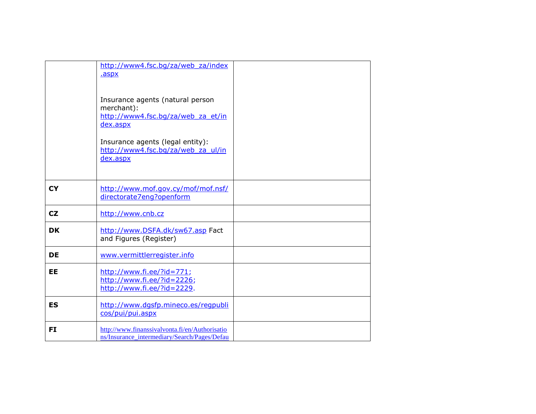|           | http://www4.fsc.bg/za/web za/index<br>.aspx<br>Insurance agents (natural person<br>merchant):<br>http://www4.fsc.bg/za/web za et/in<br>dex.aspx<br>Insurance agents (legal entity):<br>http://www4.fsc.bq/za/web za ul/in<br>dex.aspx |  |
|-----------|---------------------------------------------------------------------------------------------------------------------------------------------------------------------------------------------------------------------------------------|--|
| <b>CY</b> | http://www.mof.gov.cy/mof/mof.nsf/<br>directorate7eng?openform                                                                                                                                                                        |  |
| CZ        | http://www.cnb.cz                                                                                                                                                                                                                     |  |
| <b>DK</b> | http://www.DSFA.dk/sw67.asp Fact<br>and Figures (Register)                                                                                                                                                                            |  |
| <b>DE</b> | www.vermittlerregister.info                                                                                                                                                                                                           |  |
| EE        | $http://www.fi.ee/?id=771;$<br>http://www.fi.ee/?id=2226;<br>http://www.fi.ee/?id=2229.                                                                                                                                               |  |
| <b>ES</b> | http://www.dqsfp.mineco.es/regpubli<br>cos/pui/pui.aspx                                                                                                                                                                               |  |
| FI        | http://www.finanssivalvonta.fi/en/Authorisatio<br>ns/Insurance intermediary/Search/Pages/Defau                                                                                                                                        |  |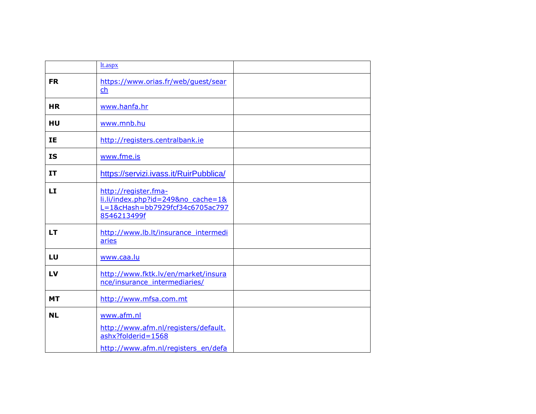|           | lt.aspx                                                                                                         |
|-----------|-----------------------------------------------------------------------------------------------------------------|
| <b>FR</b> | https://www.orias.fr/web/quest/sear<br>ch                                                                       |
| <b>HR</b> | www.hanfa.hr                                                                                                    |
| HU        | www.mnb.hu                                                                                                      |
| IΕ.       | http://registers.centralbank.ie                                                                                 |
| <b>IS</b> | www.fme.is                                                                                                      |
| IT        | https://servizi.ivass.it/RuirPubblica/                                                                          |
| <b>LI</b> | http://register.fma-<br>li.li/index.php?id=249&no cache=1&<br>L=1&cHash=bb7929fcf34c6705ac797<br>8546213499f    |
| LT        | http://www.lb.lt/insurance_intermedi<br>aries                                                                   |
| LU        | www.caa.lu                                                                                                      |
| LV        | http://www.fktk.lv/en/market/insura<br>nce/insurance intermediaries/                                            |
| <b>MT</b> | http://www.mfsa.com.mt                                                                                          |
| <b>NL</b> | www.afm.nl<br>http://www.afm.nl/registers/default.<br>ashx?folderid=1568<br>http://www.afm.nl/registers_en/defa |